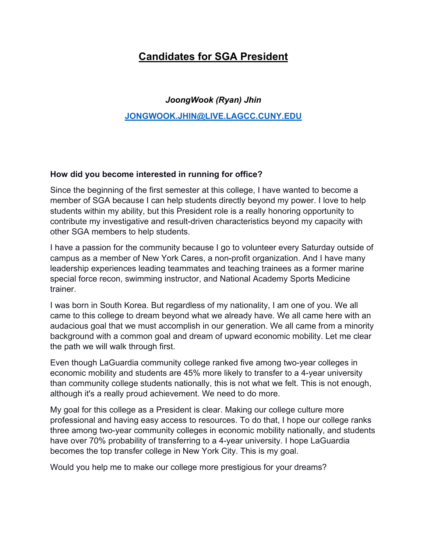# **Candidates for SGA President**

## *JoongWook (Ryan) Jhin*

#### **[JONGWOOK.JHIN@LIVE.LAGCC.CUNY.EDU](mailto:JONGWOOK.JHIN@LIVE.LAGCC.CUNY.EDU)**

#### **How did you become interested in running for office?**

Since the beginning of the first semester at this college, I have wanted to become a member of SGA because I can help students directly beyond my power. I love to help students within my ability, but this President role is a really honoring opportunity to contribute my investigative and result-driven characteristics beyond my capacity with other SGA members to help students.

I have a passion for the community because I go to volunteer every Saturday outside of campus as a member of New York Cares, a non-profit organization. And I have many leadership experiences leading teammates and teaching trainees as a former marine special force recon, swimming instructor, and National Academy Sports Medicine trainer.

I was born in South Korea. But regardless of my nationality, I am one of you. We all came to this college to dream beyond what we already have. We all came here with an audacious goal that we must accomplish in our generation. We all came from a minority background with a common goal and dream of upward economic mobility. Let me clear the path we will walk through first.

Even though LaGuardia community college ranked five among two-year colleges in economic mobility and students are 45% more likely to transfer to a 4-year university than community college students nationally, this is not what we felt. This is not enough, although it's a really proud achievement. We need to do more.

My goal for this college as a President is clear. Making our college culture more professional and having easy access to resources. To do that, I hope our college ranks three among two-year community colleges in economic mobility nationally, and students have over 70% probability of transferring to a 4-year university. I hope LaGuardia becomes the top transfer college in New York City. This is my goal.

Would you help me to make our college more prestigious for your dreams?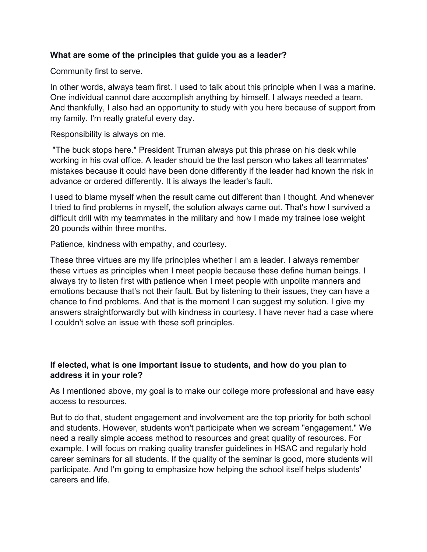#### **What are some of the principles that guide you as a leader?**

Community first to serve.

In other words, always team first. I used to talk about this principle when I was a marine. One individual cannot dare accomplish anything by himself. I always needed a team. And thankfully, I also had an opportunity to study with you here because of support from my family. I'm really grateful every day.

Responsibility is always on me.

"The buck stops here." President Truman always put this phrase on his desk while working in his oval office. A leader should be the last person who takes all teammates' mistakes because it could have been done differently if the leader had known the risk in advance or ordered differently. It is always the leader's fault.

I used to blame myself when the result came out different than I thought. And whenever I tried to find problems in myself, the solution always came out. That's how I survived a difficult drill with my teammates in the military and how I made my trainee lose weight 20 pounds within three months.

Patience, kindness with empathy, and courtesy.

These three virtues are my life principles whether I am a leader. I always remember these virtues as principles when I meet people because these define human beings. I always try to listen first with patience when I meet people with unpolite manners and emotions because that's not their fault. But by listening to their issues, they can have a chance to find problems. And that is the moment I can suggest my solution. I give my answers straightforwardly but with kindness in courtesy. I have never had a case where I couldn't solve an issue with these soft principles.

#### **If elected, what is one important issue to students, and how do you plan to address it in your role?**

As I mentioned above, my goal is to make our college more professional and have easy access to resources.

But to do that, student engagement and involvement are the top priority for both school and students. However, students won't participate when we scream "engagement." We need a really simple access method to resources and great quality of resources. For example, I will focus on making quality transfer guidelines in HSAC and regularly hold career seminars for all students. If the quality of the seminar is good, more students will participate. And I'm going to emphasize how helping the school itself helps students' careers and life.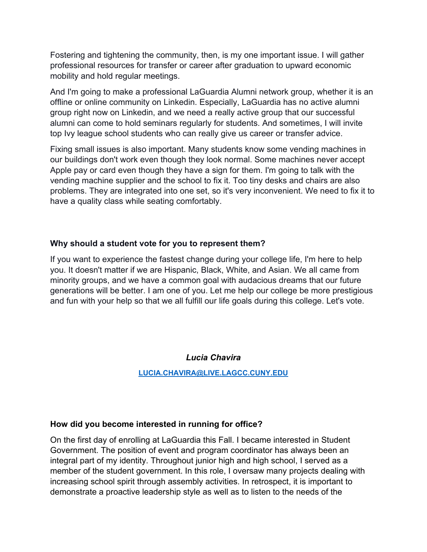Fostering and tightening the community, then, is my one important issue. I will gather professional resources for transfer or career after graduation to upward economic mobility and hold regular meetings.

And I'm going to make a professional LaGuardia Alumni network group, whether it is an offline or online community on Linkedin. Especially, LaGuardia has no active alumni group right now on Linkedin, and we need a really active group that our successful alumni can come to hold seminars regularly for students. And sometimes, I will invite top Ivy league school students who can really give us career or transfer advice.

Fixing small issues is also important. Many students know some vending machines in our buildings don't work even though they look normal. Some machines never accept Apple pay or card even though they have a sign for them. I'm going to talk with the vending machine supplier and the school to fix it. Too tiny desks and chairs are also problems. They are integrated into one set, so it's very inconvenient. We need to fix it to have a quality class while seating comfortably.

#### **Why should a student vote for you to represent them?**

If you want to experience the fastest change during your college life, I'm here to help you. It doesn't matter if we are Hispanic, Black, White, and Asian. We all came from minority groups, and we have a common goal with audacious dreams that our future generations will be better. I am one of you. Let me help our college be more prestigious and fun with your help so that we all fulfill our life goals during this college. Let's vote.

*Lucia Chavira* 

**[LUCIA.CHAVIRA@LIVE.LAGCC.CUNY.EDU](mailto:LUCIA.CHAVIRA@LIVE.LAGCC.CUNY.EDU)**

#### **How did you become interested in running for office?**

On the first day of enrolling at LaGuardia this Fall. I became interested in Student Government. The position of event and program coordinator has always been an integral part of my identity. Throughout junior high and high school, I served as a member of the student government. In this role, I oversaw many projects dealing with increasing school spirit through assembly activities. In retrospect, it is important to demonstrate a proactive leadership style as well as to listen to the needs of the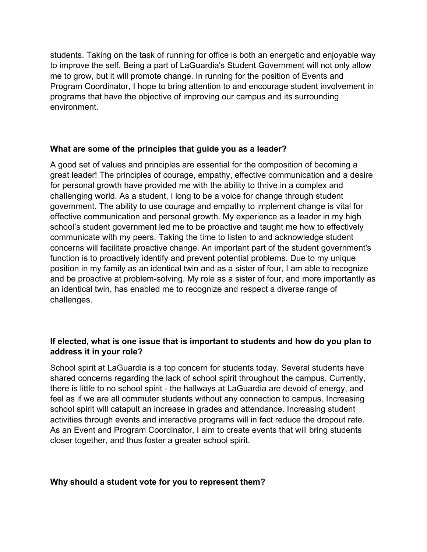students. Taking on the task of running for office is both an energetic and enjoyable way to improve the self. Being a part of LaGuardia's Student Government will not only allow me to grow, but it will promote change. In running for the position of Events and Program Coordinator, I hope to bring attention to and encourage student involvement in programs that have the objective of improving our campus and its surrounding environment.

#### **What are some of the principles that guide you as a leader?**

A good set of values and principles are essential for the composition of becoming a great leader! The principles of courage, empathy, effective communication and a desire for personal growth have provided me with the ability to thrive in a complex and challenging world. As a student, I long to be a voice for change through student government. The ability to use courage and empathy to implement change is vital for effective communication and personal growth. My experience as a leader in my high school's student government led me to be proactive and taught me how to effectively communicate with my peers. Taking the time to listen to and acknowledge student concerns will facilitate proactive change. An important part of the student government's function is to proactively identify and prevent potential problems. Due to my unique position in my family as an identical twin and as a sister of four, I am able to recognize and be proactive at problem-solving. My role as a sister of four, and more importantly as an identical twin, has enabled me to recognize and respect a diverse range of challenges.

#### **If elected, what is one issue that is important to students and how do you plan to address it in your role?**

School spirit at LaGuardia is a top concern for students today. Several students have shared concerns regarding the lack of school spirit throughout the campus. Currently, there is little to no school spirit - the hallways at LaGuardia are devoid of energy, and feel as if we are all commuter students without any connection to campus. Increasing school spirit will catapult an increase in grades and attendance. Increasing student activities through events and interactive programs will in fact reduce the dropout rate. As an Event and Program Coordinator, I aim to create events that will bring students closer together, and thus foster a greater school spirit.

#### **Why should a student vote for you to represent them?**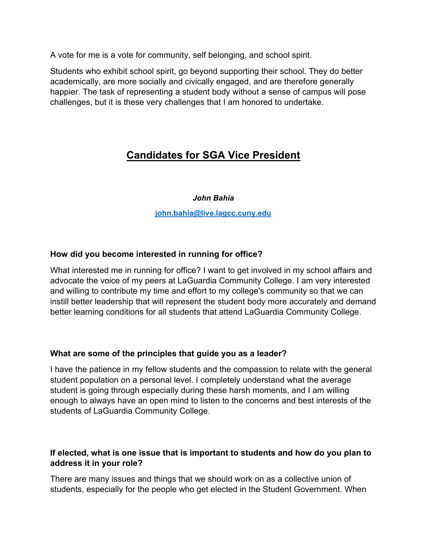A vote for me is a vote for community, self belonging, and school spirit.

Students who exhibit school spirit, go beyond supporting their school. They do better academically, are more socially and civically engaged, and are therefore generally happier. The task of representing a student body without a sense of campus will pose challenges, but it is these very challenges that I am honored to undertake.

# **Candidates for SGA Vice President**

#### *John Bahia*

**[john.bahia@live.lagcc.cuny.edu](mailto:john.bahia@live.lagcc.cuny.edu)**

## **How did you become interested in running for office?**

What interested me in running for office? I want to get involved in my school affairs and advocate the voice of my peers at LaGuardia Community College. I am very interested and willing to contribute my time and effort to my college's community so that we can instill better leadership that will represent the student body more accurately and demand better learning conditions for all students that attend LaGuardia Community College.

#### **What are some of the principles that guide you as a leader?**

I have the patience in my fellow students and the compassion to relate with the general student population on a personal level. I completely understand what the average student is going through especially during these harsh moments, and I am willing enough to always have an open mind to listen to the concerns and best interests of the students of LaGuardia Community College.

#### **If elected, what is one issue that is important to students and how do you plan to address it in your role?**

There are many issues and things that we should work on as a collective union of students, especially for the people who get elected in the Student Government. When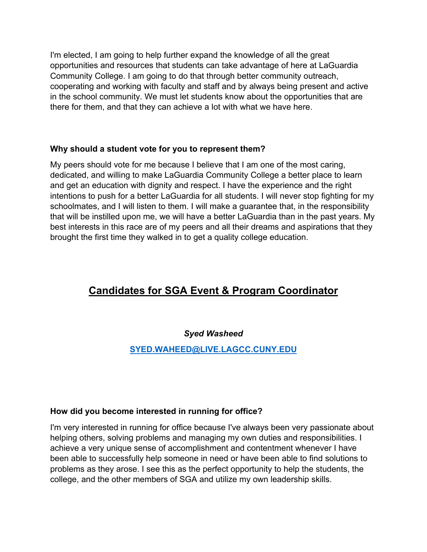I'm elected, I am going to help further expand the knowledge of all the great opportunities and resources that students can take advantage of here at LaGuardia Community College. I am going to do that through better community outreach, cooperating and working with faculty and staff and by always being present and active in the school community. We must let students know about the opportunities that are there for them, and that they can achieve a lot with what we have here.

#### **Why should a student vote for you to represent them?**

My peers should vote for me because I believe that I am one of the most caring, dedicated, and willing to make LaGuardia Community College a better place to learn and get an education with dignity and respect. I have the experience and the right intentions to push for a better LaGuardia for all students. I will never stop fighting for my schoolmates, and I will listen to them. I will make a guarantee that, in the responsibility that will be instilled upon me, we will have a better LaGuardia than in the past years. My best interests in this race are of my peers and all their dreams and aspirations that they brought the first time they walked in to get a quality college education.

# **Candidates for SGA Event & Program Coordinator**

#### *Syed Washeed*

# **[SYED.WAHEED@LIVE.LAGCC.CUNY.EDU](mailto:SYED.WAHEED@LIVE.LAGCC.CUNY.EDU)**

#### **How did you become interested in running for office?**

I'm very interested in running for office because I've always been very passionate about helping others, solving problems and managing my own duties and responsibilities. I achieve a very unique sense of accomplishment and contentment whenever I have been able to successfully help someone in need or have been able to find solutions to problems as they arose. I see this as the perfect opportunity to help the students, the college, and the other members of SGA and utilize my own leadership skills.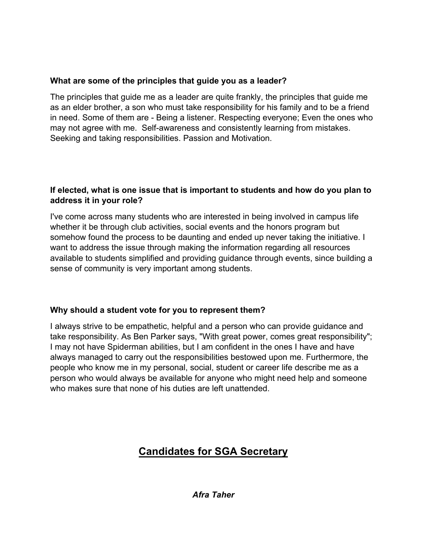## **What are some of the principles that guide you as a leader?**

The principles that guide me as a leader are quite frankly, the principles that guide me as an elder brother, a son who must take responsibility for his family and to be a friend in need. Some of them are - Being a listener. Respecting everyone; Even the ones who may not agree with me. Self-awareness and consistently learning from mistakes. Seeking and taking responsibilities. Passion and Motivation.

## **If elected, what is one issue that is important to students and how do you plan to address it in your role?**

I've come across many students who are interested in being involved in campus life whether it be through club activities, social events and the honors program but somehow found the process to be daunting and ended up never taking the initiative. I want to address the issue through making the information regarding all resources available to students simplified and providing guidance through events, since building a sense of community is very important among students.

# **Why should a student vote for you to represent them?**

I always strive to be empathetic, helpful and a person who can provide guidance and take responsibility. As Ben Parker says, "With great power, comes great responsibility"; I may not have Spiderman abilities, but I am confident in the ones I have and have always managed to carry out the responsibilities bestowed upon me. Furthermore, the people who know me in my personal, social, student or career life describe me as a person who would always be available for anyone who might need help and someone who makes sure that none of his duties are left unattended.

# **Candidates for SGA Secretary**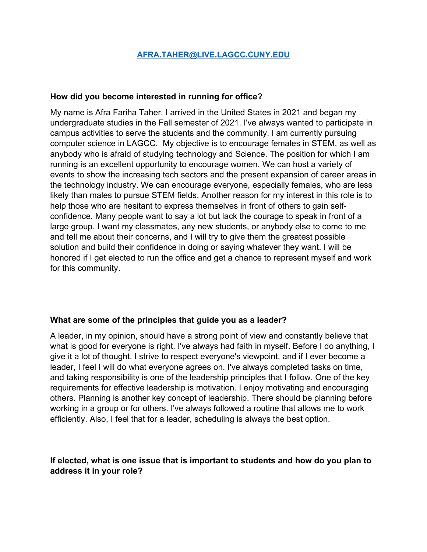#### **[AFRA.TAHER@LIVE.LAGCC.CUNY.EDU](mailto:AFRA.TAHER@LIVE.LAGCC.CUNY.EDU)**

#### **How did you become interested in running for office?**

My name is Afra Fariha Taher. I arrived in the United States in 2021 and began my undergraduate studies in the Fall semester of 2021. I've always wanted to participate in campus activities to serve the students and the community. I am currently pursuing computer science in LAGCC. My objective is to encourage females in STEM, as well as anybody who is afraid of studying technology and Science. The position for which I am running is an excellent opportunity to encourage women. We can host a variety of events to show the increasing tech sectors and the present expansion of career areas in the technology industry. We can encourage everyone, especially females, who are less likely than males to pursue STEM fields. Another reason for my interest in this role is to help those who are hesitant to express themselves in front of others to gain selfconfidence. Many people want to say a lot but lack the courage to speak in front of a large group. I want my classmates, any new students, or anybody else to come to me and tell me about their concerns, and I will try to give them the greatest possible solution and build their confidence in doing or saying whatever they want. I will be honored if I get elected to run the office and get a chance to represent myself and work for this community.

#### **What are some of the principles that guide you as a leader?**

A leader, in my opinion, should have a strong point of view and constantly believe that what is good for everyone is right. I've always had faith in myself. Before I do anything, I give it a lot of thought. I strive to respect everyone's viewpoint, and if I ever become a leader, I feel I will do what everyone agrees on. I've always completed tasks on time, and taking responsibility is one of the leadership principles that I follow. One of the key requirements for effective leadership is motivation. I enjoy motivating and encouraging others. Planning is another key concept of leadership. There should be planning before working in a group or for others. I've always followed a routine that allows me to work efficiently. Also, I feel that for a leader, scheduling is always the best option.

#### **If elected, what is one issue that is important to students and how do you plan to address it in your role?**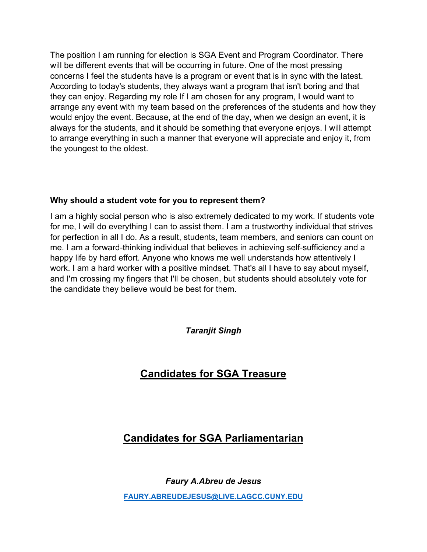The position I am running for election is SGA Event and Program Coordinator. There will be different events that will be occurring in future. One of the most pressing concerns I feel the students have is a program or event that is in sync with the latest. According to today's students, they always want a program that isn't boring and that they can enjoy. Regarding my role If I am chosen for any program, I would want to arrange any event with my team based on the preferences of the students and how they would enjoy the event. Because, at the end of the day, when we design an event, it is always for the students, and it should be something that everyone enjoys. I will attempt to arrange everything in such a manner that everyone will appreciate and enjoy it, from the youngest to the oldest.

#### **Why should a student vote for you to represent them?**

I am a highly social person who is also extremely dedicated to my work. If students vote for me, I will do everything I can to assist them. I am a trustworthy individual that strives for perfection in all I do. As a result, students, team members, and seniors can count on me. I am a forward-thinking individual that believes in achieving self-sufficiency and a happy life by hard effort. Anyone who knows me well understands how attentively I work. I am a hard worker with a positive mindset. That's all I have to say about myself, and I'm crossing my fingers that I'll be chosen, but students should absolutely vote for the candidate they believe would be best for them.

*Taranjit Singh*

# **Candidates for SGA Treasure**

# **Candidates for SGA Parliamentarian**

*Faury A.Abreu de Jesus* **[FAURY.ABREUDEJESUS@LIVE.LAGCC.CUNY.EDU](mailto:FAURY.ABREUDEJESUS@LIVE.LAGCC.CUNY.EDU)**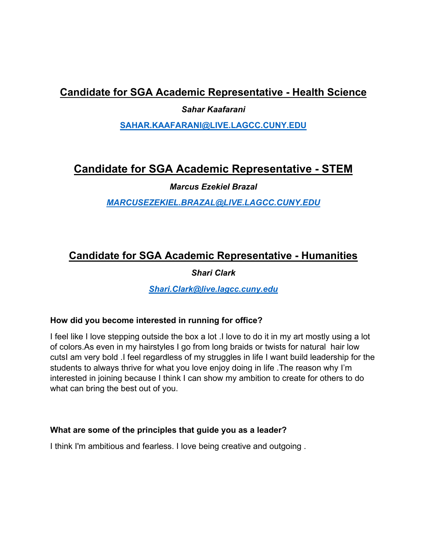# **Candidate for SGA Academic Representative - Health Science**

*Sahar Kaafarani* 

**[SAHAR.KAAFARANI@LIVE.LAGCC.CUNY.EDU](mailto:SAHAR.KAAFARANI@LIVE.LAGCC.CUNY.EDU)**

# **Candidate for SGA Academic Representative - STEM**

*Marcus Ezekiel Brazal*

*[MARCUSEZEKIEL.BRAZAL@LIVE.LAGCC.CUNY.EDU](mailto:MARCUSEZEKIEL.BRAZAL@LIVE.LAGCC.CUNY.EDU)*

# **Candidate for SGA Academic Representative - Humanities**

*Shari Clark* 

*[Shari.Clark@live.lagcc.cuny.edu](mailto:Shari.Clark@live.lagcc.cuny.edu)*

#### **How did you become interested in running for office?**

I feel like I love stepping outside the box a lot .I love to do it in my art mostly using a lot of colors.As even in my hairstyles I go from long braids or twists for natural hair low cutsI am very bold .I feel regardless of my struggles in life I want build leadership for the students to always thrive for what you love enjoy doing in life .The reason why I'm interested in joining because I think I can show my ambition to create for others to do what can bring the best out of you.

#### **What are some of the principles that guide you as a leader?**

I think I'm ambitious and fearless. I love being creative and outgoing .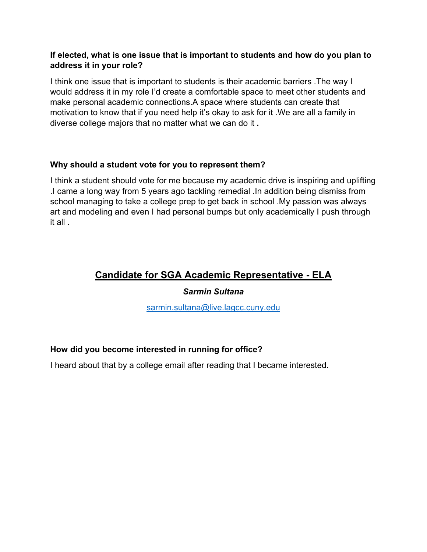#### **If elected, what is one issue that is important to students and how do you plan to address it in your role?**

I think one issue that is important to students is their academic barriers .The way I would address it in my role I'd create a comfortable space to meet other students and make personal academic connections.A space where students can create that motivation to know that if you need help it's okay to ask for it .We are all a family in diverse college majors that no matter what we can do it **.**

#### **Why should a student vote for you to represent them?**

I think a student should vote for me because my academic drive is inspiring and uplifting .I came a long way from 5 years ago tackling remedial .In addition being dismiss from school managing to take a college prep to get back in school .My passion was always art and modeling and even I had personal bumps but only academically I push through it all .

# **Candidate for SGA Academic Representative - ELA**

#### *Sarmin Sultana*

[sarmin.sultana@live.lagcc.cuny.edu](mailto:sarmin.sultana@live.lagcc.cuny.edu)

#### **How did you become interested in running for office?**

I heard about that by a college email after reading that I became interested.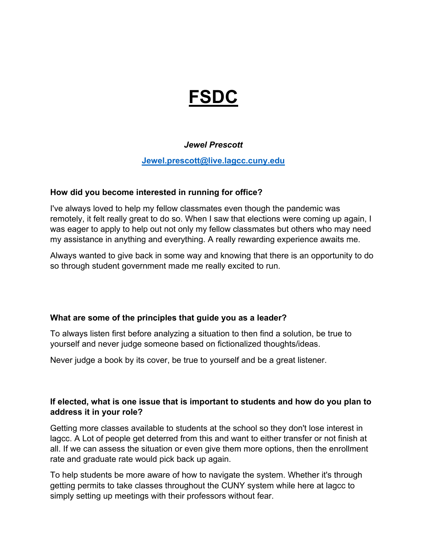# **FSDC**

#### *Jewel Prescott*

#### **[Jewel.prescott@live.lagcc.cuny.edu](mailto:Jewel.prescott@live.lagcc.cuny.edu)**

#### **How did you become interested in running for office?**

I've always loved to help my fellow classmates even though the pandemic was remotely, it felt really great to do so. When I saw that elections were coming up again, I was eager to apply to help out not only my fellow classmates but others who may need my assistance in anything and everything. A really rewarding experience awaits me.

Always wanted to give back in some way and knowing that there is an opportunity to do so through student government made me really excited to run.

#### **What are some of the principles that guide you as a leader?**

To always listen first before analyzing a situation to then find a solution, be true to yourself and never judge someone based on fictionalized thoughts/ideas.

Never judge a book by its cover, be true to yourself and be a great listener.

#### **If elected, what is one issue that is important to students and how do you plan to address it in your role?**

Getting more classes available to students at the school so they don't lose interest in lagcc. A Lot of people get deterred from this and want to either transfer or not finish at all. If we can assess the situation or even give them more options, then the enrollment rate and graduate rate would pick back up again.

To help students be more aware of how to navigate the system. Whether it's through getting permits to take classes throughout the CUNY system while here at lagcc to simply setting up meetings with their professors without fear.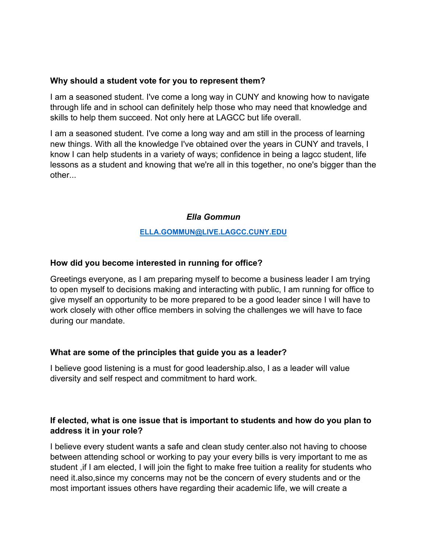#### **Why should a student vote for you to represent them?**

I am a seasoned student. I've come a long way in CUNY and knowing how to navigate through life and in school can definitely help those who may need that knowledge and skills to help them succeed. Not only here at LAGCC but life overall.

I am a seasoned student. I've come a long way and am still in the process of learning new things. With all the knowledge I've obtained over the years in CUNY and travels, I know I can help students in a variety of ways; confidence in being a lagcc student, life lessons as a student and knowing that we're all in this together, no one's bigger than the other...

#### *Ella Gommun*

#### **[ELLA.GOMMUN@LIVE.LAGCC.CUNY.EDU](mailto:ELLA.GOMMUN@LIVE.LAGCC.CUNY.EDU)**

#### **How did you become interested in running for office?**

Greetings everyone, as I am preparing myself to become a business leader I am trying to open myself to decisions making and interacting with public, I am running for office to give myself an opportunity to be more prepared to be a good leader since I will have to work closely with other office members in solving the challenges we will have to face during our mandate.

#### **What are some of the principles that guide you as a leader?**

I believe good listening is a must for good leadership.also, I as a leader will value diversity and self respect and commitment to hard work.

#### **If elected, what is one issue that is important to students and how do you plan to address it in your role?**

I believe every student wants a safe and clean study center.also not having to choose between attending school or working to pay your every bills is very important to me as student ,if I am elected, I will join the fight to make free tuition a reality for students who need it.also,since my concerns may not be the concern of every students and or the most important issues others have regarding their academic life, we will create a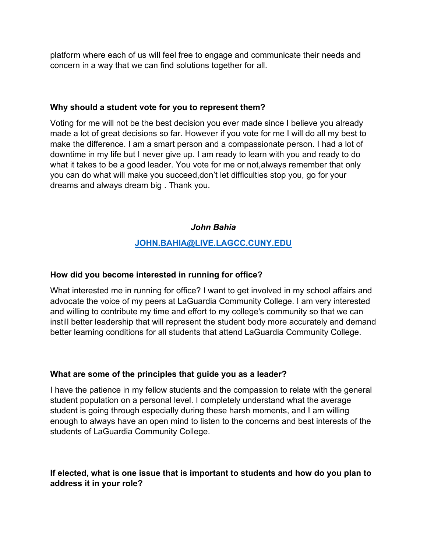platform where each of us will feel free to engage and communicate their needs and concern in a way that we can find solutions together for all.

#### **Why should a student vote for you to represent them?**

Voting for me will not be the best decision you ever made since I believe you already made a lot of great decisions so far. However if you vote for me I will do all my best to make the difference. I am a smart person and a compassionate person. I had a lot of downtime in my life but I never give up. I am ready to learn with you and ready to do what it takes to be a good leader. You vote for me or not,always remember that only you can do what will make you succeed,don't let difficulties stop you, go for your dreams and always dream big . Thank you.

## *John Bahia*

## **[JOHN.BAHIA@LIVE.LAGCC.CUNY.EDU](mailto:john.bahia@live.lagcc.cuny.edu)**

#### **How did you become interested in running for office?**

What interested me in running for office? I want to get involved in my school affairs and advocate the voice of my peers at LaGuardia Community College. I am very interested and willing to contribute my time and effort to my college's community so that we can instill better leadership that will represent the student body more accurately and demand better learning conditions for all students that attend LaGuardia Community College.

#### **What are some of the principles that guide you as a leader?**

I have the patience in my fellow students and the compassion to relate with the general student population on a personal level. I completely understand what the average student is going through especially during these harsh moments, and I am willing enough to always have an open mind to listen to the concerns and best interests of the students of LaGuardia Community College.

#### **If elected, what is one issue that is important to students and how do you plan to address it in your role?**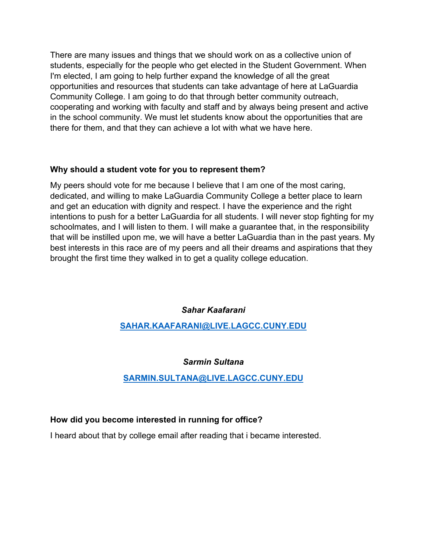There are many issues and things that we should work on as a collective union of students, especially for the people who get elected in the Student Government. When I'm elected, I am going to help further expand the knowledge of all the great opportunities and resources that students can take advantage of here at LaGuardia Community College. I am going to do that through better community outreach, cooperating and working with faculty and staff and by always being present and active in the school community. We must let students know about the opportunities that are there for them, and that they can achieve a lot with what we have here.

#### **Why should a student vote for you to represent them?**

My peers should vote for me because I believe that I am one of the most caring, dedicated, and willing to make LaGuardia Community College a better place to learn and get an education with dignity and respect. I have the experience and the right intentions to push for a better LaGuardia for all students. I will never stop fighting for my schoolmates, and I will listen to them. I will make a guarantee that, in the responsibility that will be instilled upon me, we will have a better LaGuardia than in the past years. My best interests in this race are of my peers and all their dreams and aspirations that they brought the first time they walked in to get a quality college education.

*Sahar Kaafarani* 

**[SAHAR.KAAFARANI@LIVE.LAGCC.CUNY.EDU](mailto:SAHAR.KAAFARANI@LIVE.LAGCC.CUNY.EDU)**

#### *Sarmin Sultana*

#### **[SARMIN.SULTANA@LIVE.LAGCC.CUNY.EDU](mailto:sarmin.sultana@live.lagcc.cuny.edu)**

#### **How did you become interested in running for office?**

I heard about that by college email after reading that i became interested.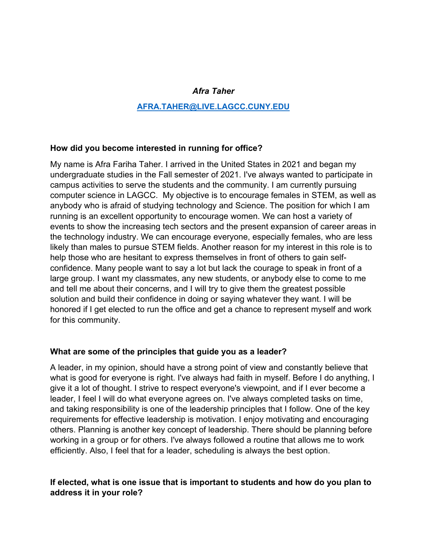#### *Afra Taher*

#### **[AFRA.TAHER@LIVE.LAGCC.CUNY.EDU](mailto:AFRA.TAHER@LIVE.LAGCC.CUNY.EDU)**

#### **How did you become interested in running for office?**

My name is Afra Fariha Taher. I arrived in the United States in 2021 and began my undergraduate studies in the Fall semester of 2021. I've always wanted to participate in campus activities to serve the students and the community. I am currently pursuing computer science in LAGCC. My objective is to encourage females in STEM, as well as anybody who is afraid of studying technology and Science. The position for which I am running is an excellent opportunity to encourage women. We can host a variety of events to show the increasing tech sectors and the present expansion of career areas in the technology industry. We can encourage everyone, especially females, who are less likely than males to pursue STEM fields. Another reason for my interest in this role is to help those who are hesitant to express themselves in front of others to gain selfconfidence. Many people want to say a lot but lack the courage to speak in front of a large group. I want my classmates, any new students, or anybody else to come to me and tell me about their concerns, and I will try to give them the greatest possible solution and build their confidence in doing or saying whatever they want. I will be honored if I get elected to run the office and get a chance to represent myself and work for this community.

#### **What are some of the principles that guide you as a leader?**

A leader, in my opinion, should have a strong point of view and constantly believe that what is good for everyone is right. I've always had faith in myself. Before I do anything, I give it a lot of thought. I strive to respect everyone's viewpoint, and if I ever become a leader, I feel I will do what everyone agrees on. I've always completed tasks on time, and taking responsibility is one of the leadership principles that I follow. One of the key requirements for effective leadership is motivation. I enjoy motivating and encouraging others. Planning is another key concept of leadership. There should be planning before working in a group or for others. I've always followed a routine that allows me to work efficiently. Also, I feel that for a leader, scheduling is always the best option.

#### **If elected, what is one issue that is important to students and how do you plan to address it in your role?**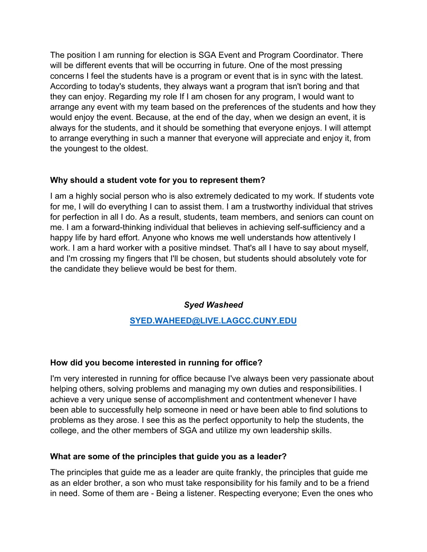The position I am running for election is SGA Event and Program Coordinator. There will be different events that will be occurring in future. One of the most pressing concerns I feel the students have is a program or event that is in sync with the latest. According to today's students, they always want a program that isn't boring and that they can enjoy. Regarding my role If I am chosen for any program, I would want to arrange any event with my team based on the preferences of the students and how they would enjoy the event. Because, at the end of the day, when we design an event, it is always for the students, and it should be something that everyone enjoys. I will attempt to arrange everything in such a manner that everyone will appreciate and enjoy it, from the youngest to the oldest.

#### **Why should a student vote for you to represent them?**

I am a highly social person who is also extremely dedicated to my work. If students vote for me, I will do everything I can to assist them. I am a trustworthy individual that strives for perfection in all I do. As a result, students, team members, and seniors can count on me. I am a forward-thinking individual that believes in achieving self-sufficiency and a happy life by hard effort. Anyone who knows me well understands how attentively I work. I am a hard worker with a positive mindset. That's all I have to say about myself, and I'm crossing my fingers that I'll be chosen, but students should absolutely vote for the candidate they believe would be best for them.

#### *Syed Washeed*

# **[SYED.WAHEED@LIVE.LAGCC.CUNY.EDU](mailto:SYED.WAHEED@LIVE.LAGCC.CUNY.EDU)**

#### **How did you become interested in running for office?**

I'm very interested in running for office because I've always been very passionate about helping others, solving problems and managing my own duties and responsibilities. I achieve a very unique sense of accomplishment and contentment whenever I have been able to successfully help someone in need or have been able to find solutions to problems as they arose. I see this as the perfect opportunity to help the students, the college, and the other members of SGA and utilize my own leadership skills.

#### **What are some of the principles that guide you as a leader?**

The principles that guide me as a leader are quite frankly, the principles that guide me as an elder brother, a son who must take responsibility for his family and to be a friend in need. Some of them are - Being a listener. Respecting everyone; Even the ones who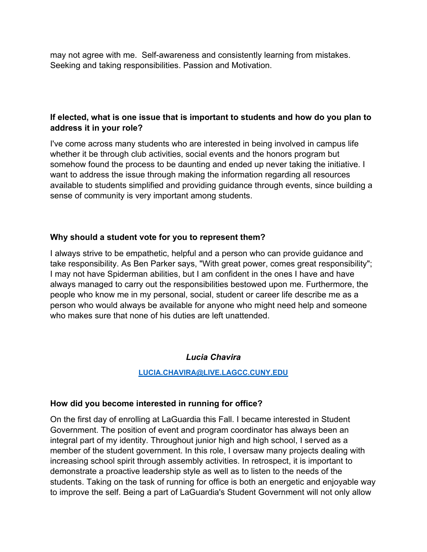may not agree with me. Self-awareness and consistently learning from mistakes. Seeking and taking responsibilities. Passion and Motivation.

#### **If elected, what is one issue that is important to students and how do you plan to address it in your role?**

I've come across many students who are interested in being involved in campus life whether it be through club activities, social events and the honors program but somehow found the process to be daunting and ended up never taking the initiative. I want to address the issue through making the information regarding all resources available to students simplified and providing guidance through events, since building a sense of community is very important among students.

#### **Why should a student vote for you to represent them?**

I always strive to be empathetic, helpful and a person who can provide guidance and take responsibility. As Ben Parker says, "With great power, comes great responsibility"; I may not have Spiderman abilities, but I am confident in the ones I have and have always managed to carry out the responsibilities bestowed upon me. Furthermore, the people who know me in my personal, social, student or career life describe me as a person who would always be available for anyone who might need help and someone who makes sure that none of his duties are left unattended.

#### *Lucia Chavira*

**[LUCIA.CHAVIRA@LIVE.LAGCC.CUNY.EDU](mailto:LUCIA.CHAVIRA@LIVE.LAGCC.CUNY.EDU)**

# **How did you become interested in running for office?**

On the first day of enrolling at LaGuardia this Fall. I became interested in Student Government. The position of event and program coordinator has always been an integral part of my identity. Throughout junior high and high school, I served as a member of the student government. In this role, I oversaw many projects dealing with increasing school spirit through assembly activities. In retrospect, it is important to demonstrate a proactive leadership style as well as to listen to the needs of the students. Taking on the task of running for office is both an energetic and enjoyable way to improve the self. Being a part of LaGuardia's Student Government will not only allow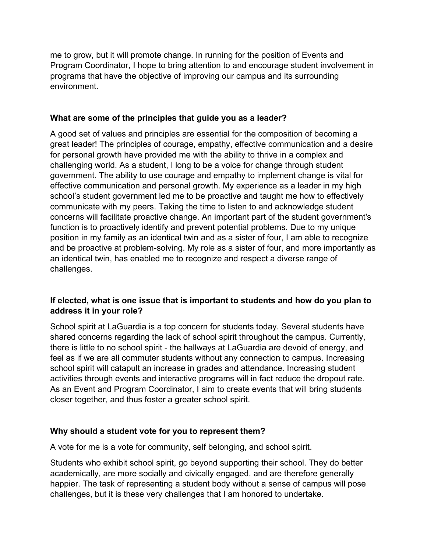me to grow, but it will promote change. In running for the position of Events and Program Coordinator, I hope to bring attention to and encourage student involvement in programs that have the objective of improving our campus and its surrounding environment.

#### **What are some of the principles that guide you as a leader?**

A good set of values and principles are essential for the composition of becoming a great leader! The principles of courage, empathy, effective communication and a desire for personal growth have provided me with the ability to thrive in a complex and challenging world. As a student, I long to be a voice for change through student government. The ability to use courage and empathy to implement change is vital for effective communication and personal growth. My experience as a leader in my high school's student government led me to be proactive and taught me how to effectively communicate with my peers. Taking the time to listen to and acknowledge student concerns will facilitate proactive change. An important part of the student government's function is to proactively identify and prevent potential problems. Due to my unique position in my family as an identical twin and as a sister of four, I am able to recognize and be proactive at problem-solving. My role as a sister of four, and more importantly as an identical twin, has enabled me to recognize and respect a diverse range of challenges.

## **If elected, what is one issue that is important to students and how do you plan to address it in your role?**

School spirit at LaGuardia is a top concern for students today. Several students have shared concerns regarding the lack of school spirit throughout the campus. Currently, there is little to no school spirit - the hallways at LaGuardia are devoid of energy, and feel as if we are all commuter students without any connection to campus. Increasing school spirit will catapult an increase in grades and attendance. Increasing student activities through events and interactive programs will in fact reduce the dropout rate. As an Event and Program Coordinator, I aim to create events that will bring students closer together, and thus foster a greater school spirit.

#### **Why should a student vote for you to represent them?**

A vote for me is a vote for community, self belonging, and school spirit.

Students who exhibit school spirit, go beyond supporting their school. They do better academically, are more socially and civically engaged, and are therefore generally happier. The task of representing a student body without a sense of campus will pose challenges, but it is these very challenges that I am honored to undertake.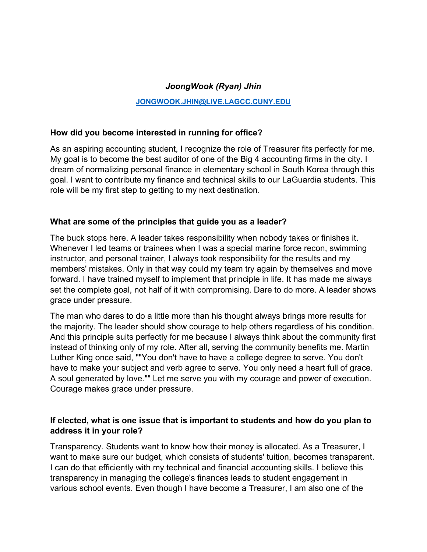#### *JoongWook (Ryan) Jhin*

#### **[JONGWOOK.JHIN@LIVE.LAGCC.CUNY.EDU](mailto:JONGWOOK.JHIN@LIVE.LAGCC.CUNY.EDU)**

#### **How did you become interested in running for office?**

As an aspiring accounting student, I recognize the role of Treasurer fits perfectly for me. My goal is to become the best auditor of one of the Big 4 accounting firms in the city. I dream of normalizing personal finance in elementary school in South Korea through this goal. I want to contribute my finance and technical skills to our LaGuardia students. This role will be my first step to getting to my next destination.

#### **What are some of the principles that guide you as a leader?**

The buck stops here. A leader takes responsibility when nobody takes or finishes it. Whenever I led teams or trainees when I was a special marine force recon, swimming instructor, and personal trainer, I always took responsibility for the results and my members' mistakes. Only in that way could my team try again by themselves and move forward. I have trained myself to implement that principle in life. It has made me always set the complete goal, not half of it with compromising. Dare to do more. A leader shows grace under pressure.

The man who dares to do a little more than his thought always brings more results for the majority. The leader should show courage to help others regardless of his condition. And this principle suits perfectly for me because I always think about the community first instead of thinking only of my role. After all, serving the community benefits me. Martin Luther King once said, ""You don't have to have a college degree to serve. You don't have to make your subject and verb agree to serve. You only need a heart full of grace. A soul generated by love."" Let me serve you with my courage and power of execution. Courage makes grace under pressure.

#### **If elected, what is one issue that is important to students and how do you plan to address it in your role?**

Transparency. Students want to know how their money is allocated. As a Treasurer, I want to make sure our budget, which consists of students' tuition, becomes transparent. I can do that efficiently with my technical and financial accounting skills. I believe this transparency in managing the college's finances leads to student engagement in various school events. Even though I have become a Treasurer, I am also one of the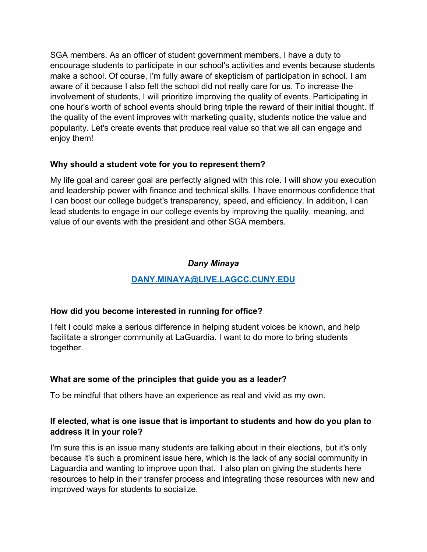SGA members. As an officer of student government members, I have a duty to encourage students to participate in our school's activities and events because students make a school. Of course, I'm fully aware of skepticism of participation in school. I am aware of it because I also felt the school did not really care for us. To increase the involvement of students, I will prioritize improving the quality of events. Participating in one hour's worth of school events should bring triple the reward of their initial thought. If the quality of the event improves with marketing quality, students notice the value and popularity. Let's create events that produce real value so that we all can engage and enjoy them!

#### **Why should a student vote for you to represent them?**

My life goal and career goal are perfectly aligned with this role. I will show you execution and leadership power with finance and technical skills. I have enormous confidence that I can boost our college budget's transparency, speed, and efficiency. In addition, I can lead students to engage in our college events by improving the quality, meaning, and value of our events with the president and other SGA members.

## *Dany Minaya*

# **[DANY.MINAYA@LIVE.LAGCC.CUNY.EDU](mailto:DANY.MINAYA@LIVE.LAGCC.CUNY.EDU)**

#### **How did you become interested in running for office?**

I felt I could make a serious difference in helping student voices be known, and help facilitate a stronger community at LaGuardia. I want to do more to bring students together.

#### **What are some of the principles that guide you as a leader?**

To be mindful that others have an experience as real and vivid as my own.

#### **If elected, what is one issue that is important to students and how do you plan to address it in your role?**

I'm sure this is an issue many students are talking about in their elections, but it's only because it's such a prominent issue here, which is the lack of any social community in Laguardia and wanting to improve upon that. I also plan on giving the students here resources to help in their transfer process and integrating those resources with new and improved ways for students to socialize.